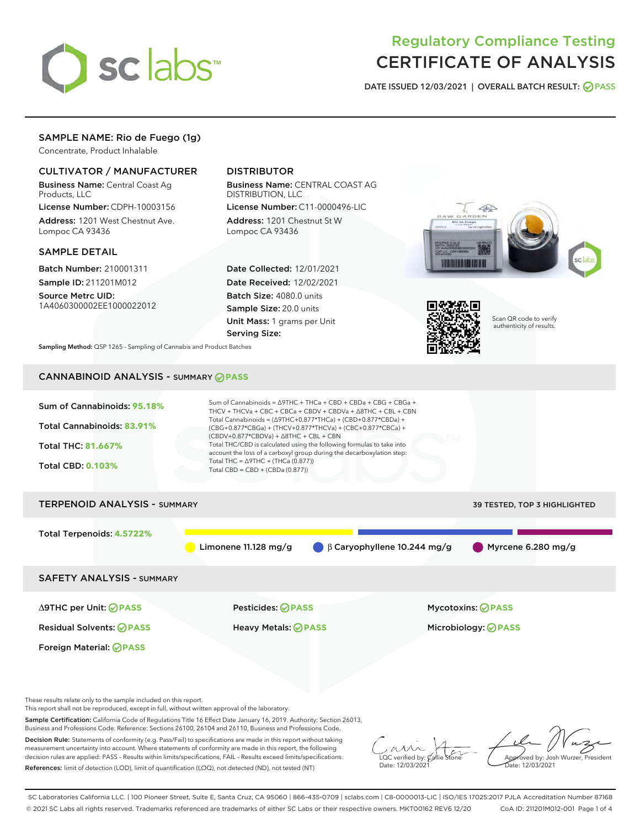

# Regulatory Compliance Testing CERTIFICATE OF ANALYSIS

DATE ISSUED 12/03/2021 | OVERALL BATCH RESULT: @ PASS

# SAMPLE NAME: Rio de Fuego (1g)

Concentrate, Product Inhalable

## CULTIVATOR / MANUFACTURER

Business Name: Central Coast Ag Products, LLC

License Number: CDPH-10003156 Address: 1201 West Chestnut Ave. Lompoc CA 93436

#### SAMPLE DETAIL

Batch Number: 210001311 Sample ID: 211201M012

Source Metrc UID: 1A4060300002EE1000022012

# DISTRIBUTOR

Business Name: CENTRAL COAST AG DISTRIBUTION, LLC License Number: C11-0000496-LIC

Address: 1201 Chestnut St W Lompoc CA 93436

Date Collected: 12/01/2021 Date Received: 12/02/2021 Batch Size: 4080.0 units Sample Size: 20.0 units Unit Mass: 1 grams per Unit Serving Size:





Scan QR code to verify authenticity of results.

Sampling Method: QSP 1265 - Sampling of Cannabis and Product Batches

# CANNABINOID ANALYSIS - SUMMARY **PASS**



This report shall not be reproduced, except in full, without written approval of the laboratory.

Sample Certification: California Code of Regulations Title 16 Effect Date January 16, 2019. Authority: Section 26013, Business and Professions Code. Reference: Sections 26100, 26104 and 26110, Business and Professions Code.

Decision Rule: Statements of conformity (e.g. Pass/Fail) to specifications are made in this report without taking measurement uncertainty into account. Where statements of conformity are made in this report, the following decision rules are applied: PASS – Results within limits/specifications, FAIL – Results exceed limits/specifications. References: limit of detection (LOD), limit of quantification (LOQ), not detected (ND), not tested (NT)

 $\overline{\text{C}}$  verified by:  $\mathcal C$ Date: 12/03/2021

Aved by: Josh Wurzer, President ate: 12/03/2021

SC Laboratories California LLC. | 100 Pioneer Street, Suite E, Santa Cruz, CA 95060 | 866-435-0709 | sclabs.com | C8-0000013-LIC | ISO/IES 17025:2017 PJLA Accreditation Number 87168 © 2021 SC Labs all rights reserved. Trademarks referenced are trademarks of either SC Labs or their respective owners. MKT00162 REV6 12/20 CoA ID: 211201M012-001 Page 1 of 4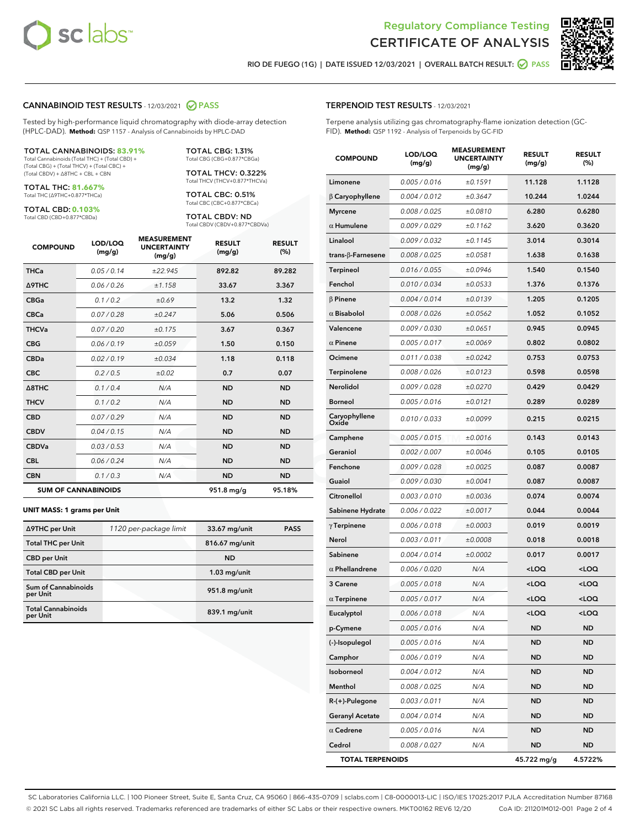



RIO DE FUEGO (1G) | DATE ISSUED 12/03/2021 | OVERALL BATCH RESULT:  $\bigcirc$  PASS

#### CANNABINOID TEST RESULTS - 12/03/2021 2 PASS

Tested by high-performance liquid chromatography with diode-array detection (HPLC-DAD). **Method:** QSP 1157 - Analysis of Cannabinoids by HPLC-DAD

#### TOTAL CANNABINOIDS: **83.91%**

Total Cannabinoids (Total THC) + (Total CBD) + (Total CBG) + (Total THCV) + (Total CBC) + (Total CBDV) + ∆8THC + CBL + CBN

TOTAL THC: **81.667%** Total THC (∆9THC+0.877\*THCa)

TOTAL CBD: **0.103%**

Total CBD (CBD+0.877\*CBDa)

TOTAL CBG: 1.31% Total CBG (CBG+0.877\*CBGa)

TOTAL THCV: 0.322% Total THCV (THCV+0.877\*THCVa)

TOTAL CBC: 0.51% Total CBC (CBC+0.877\*CBCa)

TOTAL CBDV: ND Total CBDV (CBDV+0.877\*CBDVa)

| <b>COMPOUND</b>            | LOD/LOQ<br>(mg/g) | <b>MEASUREMENT</b><br><b>UNCERTAINTY</b><br>(mg/g) | <b>RESULT</b><br>(mg/g) | <b>RESULT</b><br>(%) |
|----------------------------|-------------------|----------------------------------------------------|-------------------------|----------------------|
| <b>THCa</b>                | 0.05/0.14         | ±22.945                                            | 892.82                  | 89.282               |
| <b>A9THC</b>               | 0.06 / 0.26       | ±1.158                                             | 33.67                   | 3.367                |
| <b>CBGa</b>                | 0.1/0.2           | ±0.69                                              | 13.2                    | 1.32                 |
| <b>CBCa</b>                | 0.07 / 0.28       | ±0.247                                             | 5.06                    | 0.506                |
| <b>THCVa</b>               | 0.07/0.20         | ±0.175                                             | 3.67                    | 0.367                |
| <b>CBG</b>                 | 0.06/0.19         | ±0.059                                             | 1.50                    | 0.150                |
| <b>CBDa</b>                | 0.02/0.19         | ±0.034                                             | 1.18                    | 0.118                |
| <b>CBC</b>                 | 0.2 / 0.5         | ±0.02                                              | 0.7                     | 0.07                 |
| A8THC                      | 0.1 / 0.4         | N/A                                                | <b>ND</b>               | <b>ND</b>            |
| <b>THCV</b>                | 0.1 / 0.2         | N/A                                                | <b>ND</b>               | <b>ND</b>            |
| <b>CBD</b>                 | 0.07/0.29         | N/A                                                | <b>ND</b>               | <b>ND</b>            |
| <b>CBDV</b>                | 0.04 / 0.15       | N/A                                                | <b>ND</b>               | <b>ND</b>            |
| <b>CBDVa</b>               | 0.03 / 0.53       | N/A                                                | <b>ND</b>               | <b>ND</b>            |
| <b>CBL</b>                 | 0.06 / 0.24       | N/A                                                | <b>ND</b>               | <b>ND</b>            |
| <b>CBN</b>                 | 0.1/0.3           | N/A                                                | <b>ND</b>               | <b>ND</b>            |
| <b>SUM OF CANNABINOIDS</b> |                   |                                                    | 951.8 mg/g              | 95.18%               |

#### **UNIT MASS: 1 grams per Unit**

| ∆9THC per Unit                        | 1120 per-package limit | 33.67 mg/unit  | <b>PASS</b> |
|---------------------------------------|------------------------|----------------|-------------|
| <b>Total THC per Unit</b>             |                        | 816.67 mg/unit |             |
| <b>CBD</b> per Unit                   |                        | <b>ND</b>      |             |
| <b>Total CBD per Unit</b>             |                        | $1.03$ mg/unit |             |
| Sum of Cannabinoids<br>per Unit       |                        | 951.8 mg/unit  |             |
| <b>Total Cannabinoids</b><br>per Unit |                        | 839.1 mg/unit  |             |

#### TERPENOID TEST RESULTS - 12/03/2021

Terpene analysis utilizing gas chromatography-flame ionization detection (GC-FID). **Method:** QSP 1192 - Analysis of Terpenoids by GC-FID

| <b>COMPOUND</b>           | LOD/LOQ<br>(mg/g) | <b>MEASUREMENT</b><br><b>UNCERTAINTY</b><br>(mg/g) | <b>RESULT</b><br>(mg/g)                         | <b>RESULT</b><br>$(\%)$ |
|---------------------------|-------------------|----------------------------------------------------|-------------------------------------------------|-------------------------|
| Limonene                  | 0.005 / 0.016     | ±0.1591                                            | 11.128                                          | 1.1128                  |
| $\beta$ Caryophyllene     | 0.004 / 0.012     | ±0.3647                                            | 10.244                                          | 1.0244                  |
| <b>Myrcene</b>            | 0.008 / 0.025     | ±0.0810                                            | 6.280                                           | 0.6280                  |
| $\alpha$ Humulene         | 0.009/0.029       | ±0.1162                                            | 3.620                                           | 0.3620                  |
| Linalool                  | 0.009 / 0.032     | ±0.1145                                            | 3.014                                           | 0.3014                  |
| trans- $\beta$ -Farnesene | 0.008 / 0.025     | ±0.0581                                            | 1.638                                           | 0.1638                  |
| Terpineol                 | 0.016 / 0.055     | ±0.0946                                            | 1.540                                           | 0.1540                  |
| Fenchol                   | 0.010 / 0.034     | ±0.0533                                            | 1.376                                           | 0.1376                  |
| $\beta$ Pinene            | 0.004 / 0.014     | ±0.0139                                            | 1.205                                           | 0.1205                  |
| $\alpha$ Bisabolol        | 0.008 / 0.026     | ±0.0562                                            | 1.052                                           | 0.1052                  |
| Valencene                 | 0.009 / 0.030     | ±0.0651                                            | 0.945                                           | 0.0945                  |
| $\alpha$ Pinene           | 0.005 / 0.017     | ±0.0069                                            | 0.802                                           | 0.0802                  |
| Ocimene                   | 0.011 / 0.038     | ±0.0242                                            | 0.753                                           | 0.0753                  |
| Terpinolene               | 0.008 / 0.026     | ±0.0123                                            | 0.598                                           | 0.0598                  |
| Nerolidol                 | 0.009 / 0.028     | ±0.0270                                            | 0.429                                           | 0.0429                  |
| Borneol                   | 0.005 / 0.016     | ±0.0121                                            | 0.289                                           | 0.0289                  |
| Caryophyllene<br>Oxide    | 0.010 / 0.033     | ±0.0099                                            | 0.215                                           | 0.0215                  |
| Camphene                  | 0.005 / 0.015     | ±0.0016                                            | 0.143                                           | 0.0143                  |
| Geraniol                  | 0.002 / 0.007     | ±0.0046                                            | 0.105                                           | 0.0105                  |
| Fenchone                  | 0.009 / 0.028     | ±0.0025                                            | 0.087                                           | 0.0087                  |
| Guaiol                    | 0.009 / 0.030     | ±0.0041                                            | 0.087                                           | 0.0087                  |
| Citronellol               | 0.003 / 0.010     | ±0.0036                                            | 0.074                                           | 0.0074                  |
| Sabinene Hydrate          | 0.006 / 0.022     | ±0.0017                                            | 0.044                                           | 0.0044                  |
| $\gamma$ Terpinene        | 0.006 / 0.018     | ±0.0003                                            | 0.019                                           | 0.0019                  |
| Nerol                     | 0.003 / 0.011     | ±0.0008                                            | 0.018                                           | 0.0018                  |
| Sabinene                  | 0.004 / 0.014     | ±0.0002                                            | 0.017                                           | 0.0017                  |
| $\alpha$ Phellandrene     | 0.006 / 0.020     | N/A                                                | <loq< th=""><th><loq< th=""></loq<></th></loq<> | <loq< th=""></loq<>     |
| 3 Carene                  | 0.005 / 0.018     | N/A                                                | <loq< th=""><th><loq< th=""></loq<></th></loq<> | <loq< th=""></loq<>     |
| $\alpha$ Terpinene        | 0.005 / 0.017     | N/A                                                | <loq< th=""><th><loq< th=""></loq<></th></loq<> | <loq< th=""></loq<>     |
| Eucalyptol                | 0.006 / 0.018     | N/A                                                | $<$ LOQ                                         | $<$ LOQ                 |
| p-Cymene                  | 0.005 / 0.016     | N/A                                                | ND                                              | ND                      |
| (-)-Isopulegol            | 0.005 / 0.016     | N/A                                                | <b>ND</b>                                       | <b>ND</b>               |
| Camphor                   | 0.006 / 0.019     | N/A                                                | <b>ND</b>                                       | <b>ND</b>               |
| Isoborneol                | 0.004 / 0.012     | N/A                                                | ND                                              | ND                      |
| Menthol                   | 0.008 / 0.025     | N/A                                                | <b>ND</b>                                       | ND                      |
| R-(+)-Pulegone            | 0.003 / 0.011     | N/A                                                | <b>ND</b>                                       | <b>ND</b>               |
| <b>Geranyl Acetate</b>    | 0.004 / 0.014     | N/A                                                | ND                                              | ND                      |
| $\alpha$ Cedrene          | 0.005 / 0.016     | N/A                                                | <b>ND</b>                                       | ND                      |
| Cedrol                    | 0.008 / 0.027     | N/A                                                | <b>ND</b>                                       | <b>ND</b>               |
| <b>TOTAL TERPENOIDS</b>   |                   |                                                    | 45.722 mg/g                                     | 4.5722%                 |

SC Laboratories California LLC. | 100 Pioneer Street, Suite E, Santa Cruz, CA 95060 | 866-435-0709 | sclabs.com | C8-0000013-LIC | ISO/IES 17025:2017 PJLA Accreditation Number 87168 © 2021 SC Labs all rights reserved. Trademarks referenced are trademarks of either SC Labs or their respective owners. MKT00162 REV6 12/20 CoA ID: 211201M012-001 Page 2 of 4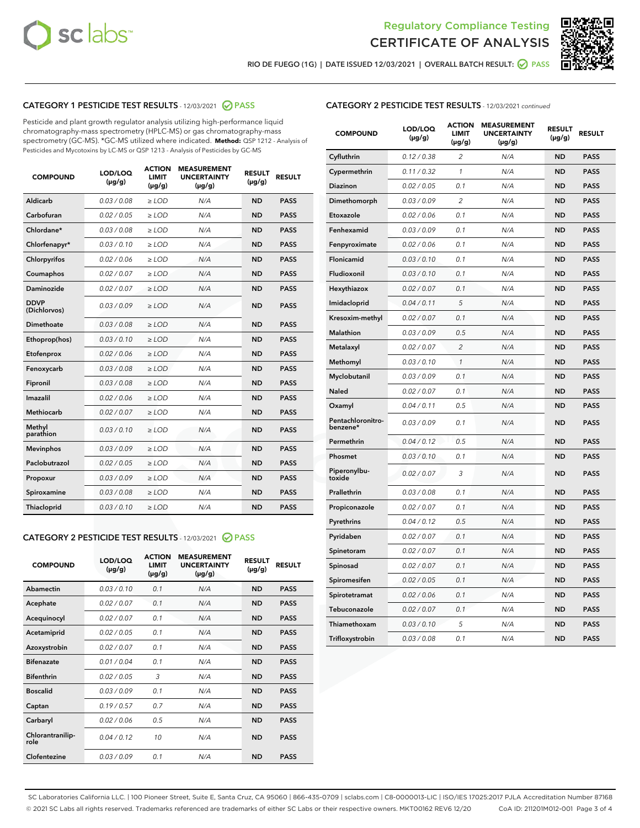



RIO DE FUEGO (1G) | DATE ISSUED 12/03/2021 | OVERALL BATCH RESULT: 2 PASS

# CATEGORY 1 PESTICIDE TEST RESULTS - 12/03/2021 2 PASS

Pesticide and plant growth regulator analysis utilizing high-performance liquid chromatography-mass spectrometry (HPLC-MS) or gas chromatography-mass spectrometry (GC-MS). \*GC-MS utilized where indicated. **Method:** QSP 1212 - Analysis of Pesticides and Mycotoxins by LC-MS or QSP 1213 - Analysis of Pesticides by GC-MS

| <b>COMPOUND</b>             | LOD/LOQ<br>$(\mu g/g)$ | <b>ACTION</b><br><b>LIMIT</b><br>$(\mu g/g)$ | <b>MEASUREMENT</b><br><b>UNCERTAINTY</b><br>$(\mu g/g)$ | <b>RESULT</b><br>$(\mu g/g)$ | <b>RESULT</b> |
|-----------------------------|------------------------|----------------------------------------------|---------------------------------------------------------|------------------------------|---------------|
| Aldicarb                    | 0.03 / 0.08            | $\ge$ LOD                                    | N/A                                                     | <b>ND</b>                    | <b>PASS</b>   |
| Carbofuran                  | 0.02/0.05              | $>$ LOD                                      | N/A                                                     | <b>ND</b>                    | <b>PASS</b>   |
| Chlordane*                  | 0.03 / 0.08            | $\ge$ LOD                                    | N/A                                                     | <b>ND</b>                    | <b>PASS</b>   |
| Chlorfenapyr*               | 0.03/0.10              | $\ge$ LOD                                    | N/A                                                     | <b>ND</b>                    | <b>PASS</b>   |
| Chlorpyrifos                | 0.02 / 0.06            | $\ge$ LOD                                    | N/A                                                     | <b>ND</b>                    | <b>PASS</b>   |
| Coumaphos                   | 0.02 / 0.07            | $>$ LOD                                      | N/A                                                     | <b>ND</b>                    | <b>PASS</b>   |
| Daminozide                  | 0.02 / 0.07            | $\ge$ LOD                                    | N/A                                                     | <b>ND</b>                    | <b>PASS</b>   |
| <b>DDVP</b><br>(Dichlorvos) | 0.03/0.09              | $\ge$ LOD                                    | N/A                                                     | <b>ND</b>                    | <b>PASS</b>   |
| <b>Dimethoate</b>           | 0.03 / 0.08            | $\ge$ LOD                                    | N/A                                                     | <b>ND</b>                    | <b>PASS</b>   |
| Ethoprop(hos)               | 0.03/0.10              | $>$ LOD                                      | N/A                                                     | <b>ND</b>                    | <b>PASS</b>   |
| Etofenprox                  | 0.02 / 0.06            | $\ge$ LOD                                    | N/A                                                     | <b>ND</b>                    | <b>PASS</b>   |
| Fenoxycarb                  | 0.03 / 0.08            | $>$ LOD                                      | N/A                                                     | <b>ND</b>                    | <b>PASS</b>   |
| Fipronil                    | 0.03 / 0.08            | $\ge$ LOD                                    | N/A                                                     | <b>ND</b>                    | <b>PASS</b>   |
| Imazalil                    | 0.02 / 0.06            | $\ge$ LOD                                    | N/A                                                     | <b>ND</b>                    | <b>PASS</b>   |
| Methiocarb                  | 0.02 / 0.07            | $\ge$ LOD                                    | N/A                                                     | <b>ND</b>                    | <b>PASS</b>   |
| Methyl<br>parathion         | 0.03/0.10              | $>$ LOD                                      | N/A                                                     | <b>ND</b>                    | <b>PASS</b>   |
| <b>Mevinphos</b>            | 0.03/0.09              | $>$ LOD                                      | N/A                                                     | <b>ND</b>                    | <b>PASS</b>   |
| Paclobutrazol               | 0.02 / 0.05            | $\ge$ LOD                                    | N/A                                                     | <b>ND</b>                    | <b>PASS</b>   |
| Propoxur                    | 0.03/0.09              | $\ge$ LOD                                    | N/A                                                     | <b>ND</b>                    | <b>PASS</b>   |
| Spiroxamine                 | 0.03 / 0.08            | $\ge$ LOD                                    | N/A                                                     | <b>ND</b>                    | <b>PASS</b>   |
| <b>Thiacloprid</b>          | 0.03/0.10              | $\ge$ LOD                                    | N/A                                                     | <b>ND</b>                    | <b>PASS</b>   |
|                             |                        |                                              |                                                         |                              |               |

# CATEGORY 2 PESTICIDE TEST RESULTS - 12/03/2021 @ PASS

| <b>COMPOUND</b>          | LOD/LOQ<br>$(\mu g/g)$ | <b>ACTION</b><br>LIMIT<br>$(\mu g/g)$ | <b>MEASUREMENT</b><br><b>UNCERTAINTY</b><br>$(\mu g/g)$ | <b>RESULT</b><br>$(\mu g/g)$ | <b>RESULT</b> |  |
|--------------------------|------------------------|---------------------------------------|---------------------------------------------------------|------------------------------|---------------|--|
| Abamectin                | 0.03/0.10              | 0.1                                   | N/A                                                     | <b>ND</b>                    | <b>PASS</b>   |  |
| Acephate                 | 0.02/0.07              | 0.1                                   | N/A                                                     | <b>ND</b>                    | <b>PASS</b>   |  |
| Acequinocyl              | 0.02/0.07              | 0.1                                   | N/A                                                     | <b>ND</b>                    | <b>PASS</b>   |  |
| Acetamiprid              | 0.02/0.05              | 0.1                                   | N/A                                                     | <b>ND</b>                    | <b>PASS</b>   |  |
| Azoxystrobin             | 0.02/0.07              | 0.1                                   | N/A                                                     | <b>ND</b>                    | <b>PASS</b>   |  |
| <b>Bifenazate</b>        | 0.01/0.04              | 0.1                                   | N/A                                                     | <b>ND</b>                    | <b>PASS</b>   |  |
| <b>Bifenthrin</b>        | 0.02 / 0.05            | 3                                     | N/A                                                     | <b>ND</b>                    | <b>PASS</b>   |  |
| <b>Boscalid</b>          | 0.03/0.09              | 0.1                                   | N/A                                                     | <b>ND</b>                    | <b>PASS</b>   |  |
| Captan                   | 0.19/0.57              | 0.7                                   | N/A                                                     | <b>ND</b>                    | <b>PASS</b>   |  |
| Carbaryl                 | 0.02/0.06              | 0.5                                   | N/A                                                     | <b>ND</b>                    | <b>PASS</b>   |  |
| Chlorantranilip-<br>role | 0.04/0.12              | 10                                    | N/A                                                     | <b>ND</b>                    | <b>PASS</b>   |  |
| Clofentezine             | 0.03/0.09              | 0.1                                   | N/A                                                     | <b>ND</b>                    | <b>PASS</b>   |  |

| <b>COMPOUND</b>               | LOD/LOQ<br>(µg/g) | <b>ACTION</b><br><b>LIMIT</b><br>(µg/g) | <b>MEASUREMENT</b><br><b>UNCERTAINTY</b><br>$(\mu g/g)$ | <b>RESULT</b><br>(µg/g) | <b>RESULT</b> |
|-------------------------------|-------------------|-----------------------------------------|---------------------------------------------------------|-------------------------|---------------|
| Cyfluthrin                    | 0.12 / 0.38       | $\overline{c}$                          | N/A                                                     | <b>ND</b>               | <b>PASS</b>   |
| Cypermethrin                  | 0.11 / 0.32       | 1                                       | N/A                                                     | <b>ND</b>               | <b>PASS</b>   |
| <b>Diazinon</b>               | 0.02 / 0.05       | 0.1                                     | N/A                                                     | <b>ND</b>               | <b>PASS</b>   |
| Dimethomorph                  | 0.03 / 0.09       | 2                                       | N/A                                                     | <b>ND</b>               | <b>PASS</b>   |
| Etoxazole                     | 0.02 / 0.06       | 0.1                                     | N/A                                                     | <b>ND</b>               | <b>PASS</b>   |
| Fenhexamid                    | 0.03 / 0.09       | 0.1                                     | N/A                                                     | <b>ND</b>               | <b>PASS</b>   |
| Fenpyroximate                 | 0.02 / 0.06       | 0.1                                     | N/A                                                     | <b>ND</b>               | <b>PASS</b>   |
| Flonicamid                    | 0.03 / 0.10       | 0.1                                     | N/A                                                     | <b>ND</b>               | <b>PASS</b>   |
| Fludioxonil                   | 0.03 / 0.10       | 0.1                                     | N/A                                                     | <b>ND</b>               | <b>PASS</b>   |
| Hexythiazox                   | 0.02 / 0.07       | 0.1                                     | N/A                                                     | <b>ND</b>               | <b>PASS</b>   |
| Imidacloprid                  | 0.04 / 0.11       | 5                                       | N/A                                                     | <b>ND</b>               | <b>PASS</b>   |
| Kresoxim-methyl               | 0.02 / 0.07       | 0.1                                     | N/A                                                     | <b>ND</b>               | <b>PASS</b>   |
| Malathion                     | 0.03 / 0.09       | 0.5                                     | N/A                                                     | <b>ND</b>               | <b>PASS</b>   |
| Metalaxyl                     | 0.02 / 0.07       | $\overline{c}$                          | N/A                                                     | <b>ND</b>               | <b>PASS</b>   |
| Methomyl                      | 0.03 / 0.10       | $\mathcal{I}$                           | N/A                                                     | <b>ND</b>               | <b>PASS</b>   |
| Myclobutanil                  | 0.03 / 0.09       | 0.1                                     | N/A                                                     | <b>ND</b>               | <b>PASS</b>   |
| <b>Naled</b>                  | 0.02 / 0.07       | 0.1                                     | N/A                                                     | <b>ND</b>               | <b>PASS</b>   |
| Oxamyl                        | 0.04 / 0.11       | 0.5                                     | N/A                                                     | <b>ND</b>               | <b>PASS</b>   |
| Pentachloronitro-<br>benzene* | 0.03/0.09         | 0.1                                     | N/A                                                     | <b>ND</b>               | <b>PASS</b>   |
| Permethrin                    | 0.04 / 0.12       | 0.5                                     | N/A                                                     | <b>ND</b>               | <b>PASS</b>   |
| Phosmet                       | 0.03 / 0.10       | 0.1                                     | N/A                                                     | <b>ND</b>               | <b>PASS</b>   |
| Piperonylbu-<br>toxide        | 0.02 / 0.07       | 3                                       | N/A                                                     | <b>ND</b>               | <b>PASS</b>   |
| Prallethrin                   | 0.03 / 0.08       | 0.1                                     | N/A                                                     | <b>ND</b>               | <b>PASS</b>   |
| Propiconazole                 | 0.02 / 0.07       | 0.1                                     | N/A                                                     | <b>ND</b>               | <b>PASS</b>   |
| Pyrethrins                    | 0.04 / 0.12       | 0.5                                     | N/A                                                     | <b>ND</b>               | <b>PASS</b>   |
| Pyridaben                     | 0.02 / 0.07       | 0.1                                     | N/A                                                     | <b>ND</b>               | <b>PASS</b>   |
| Spinetoram                    | 0.02 / 0.07       | 0.1                                     | N/A                                                     | <b>ND</b>               | <b>PASS</b>   |
| Spinosad                      | 0.02 / 0.07       | 0.1                                     | N/A                                                     | <b>ND</b>               | <b>PASS</b>   |
| Spiromesifen                  | 0.02 / 0.05       | 0.1                                     | N/A                                                     | <b>ND</b>               | <b>PASS</b>   |
| Spirotetramat                 | 0.02 / 0.06       | 0.1                                     | N/A                                                     | ND                      | <b>PASS</b>   |
| Tebuconazole                  | 0.02 / 0.07       | 0.1                                     | N/A                                                     | <b>ND</b>               | <b>PASS</b>   |
| Thiamethoxam                  | 0.03 / 0.10       | 5                                       | N/A                                                     | <b>ND</b>               | <b>PASS</b>   |
| Trifloxystrobin               | 0.03 / 0.08       | 0.1                                     | N/A                                                     | <b>ND</b>               | <b>PASS</b>   |

SC Laboratories California LLC. | 100 Pioneer Street, Suite E, Santa Cruz, CA 95060 | 866-435-0709 | sclabs.com | C8-0000013-LIC | ISO/IES 17025:2017 PJLA Accreditation Number 87168 © 2021 SC Labs all rights reserved. Trademarks referenced are trademarks of either SC Labs or their respective owners. MKT00162 REV6 12/20 CoA ID: 211201M012-001 Page 3 of 4